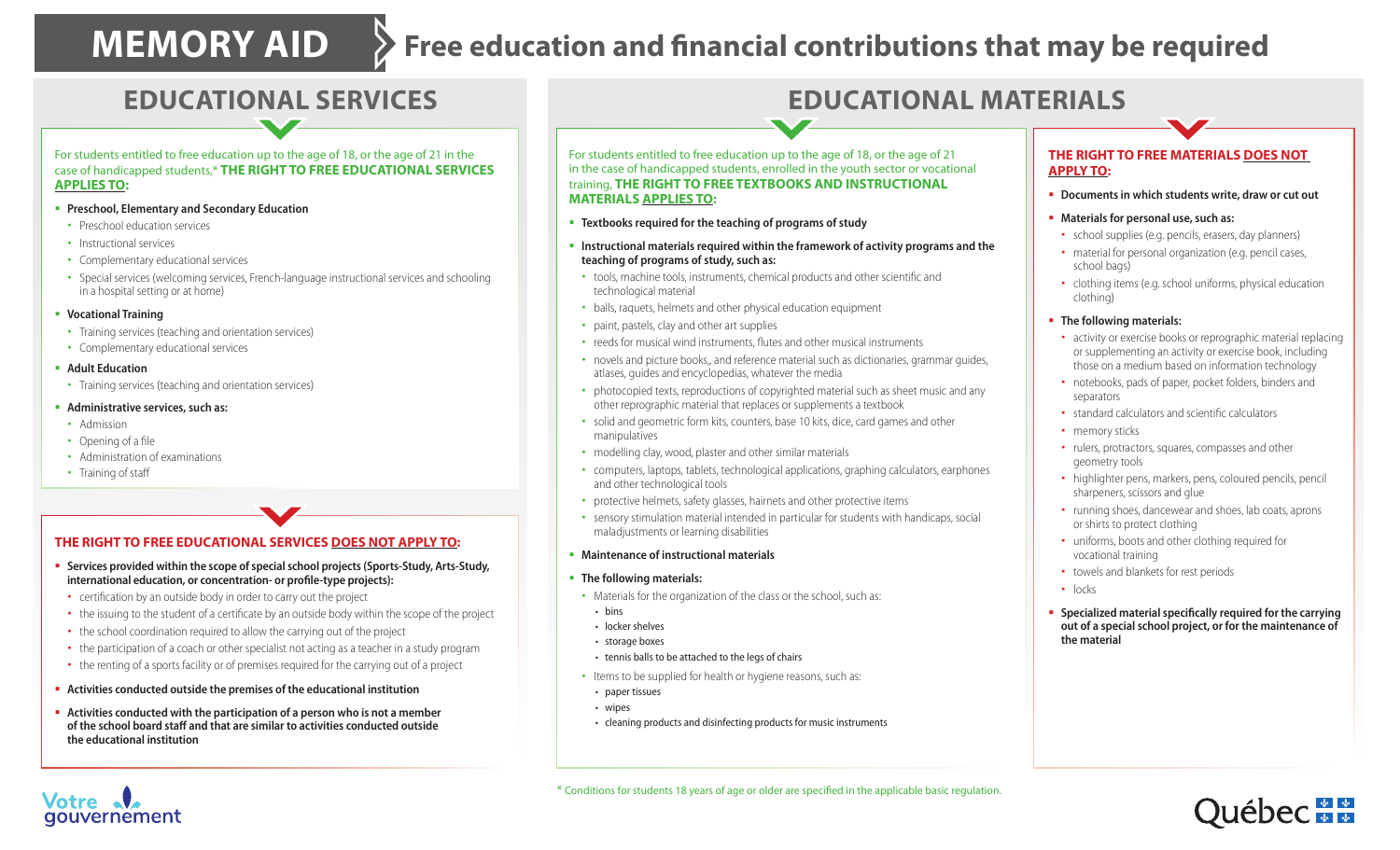# **MEMORY AID** > Free education and financial contributions that may be required

### For students entitled to free education up to the age of 18, or the age of 21 in the case of handicapped students,\* **THE RIGHT TO FREE EDUCATIONAL SERVICES APPLIES TO:**

- **Preschool, Elementary and Secondary Education**
- **•** Preschool education services
- Instructional services
- Complementary educational services
- Special services (welcoming services, French-language instructional services and schooling in a hospital setting or at home)
- **Vocational Training**
- Training services (teaching and orientation services)
- Complementary educational services
- **Adult Education**
- Training services (teaching and orientation services)
- **Administrative services, such as:**
- Admission
- $\cdot$  Opening of a file
- Administration of examinations
- Training of staff

### **THE RIGHT TO FREE EDUCATIONAL SERVICES DOES NOT APPLY TO:**

- **Services provided within the scope of special school projects (Sports-Study, Arts-Study, 1)** international education, or concentration- or profile-type projects):
- certification by an outside body in order to carry out the project
- the issuing to the student of a certificate by an outside body within the scope of the project
- the school coordination required to allow the carrying out of the project
- the participation of a coach or other specialist not acting as a teacher in a study program
- the renting of a sports facility or of premises required for the carrying out of a project
- **Activities conducted outside the premises of the educational institution**
- **Activities conducted with the participation of a person who is not a member of the school board staff and that are similar to activities conducted outside the educational institution**

## **EDUCATIONAL SERVICES EDUCATIONAL MATERIALS**

For students entitled to free education up to the age of 18, or the age of 21 in the case of handicapped students, enrolled in the youth sector or vocational training, **THE RIGHT TO FREE TEXTBOOKS AND INSTRUCTIONAL MATERIALS APPLIES TO:**

- **Textbooks required for the teaching of programs of study**
- **Instructional materials required within the framework of activity programs and the teaching of programs of study, such as:**
- tools, machine tools, instruments, chemical products and other scientific and technological material
- balls, raquets, helmets and other physical education equipment
- paint, pastels, clay and other art supplies
- reeds for musical wind instruments, flutes and other musical instruments
- novels and picture books,, and reference material such as dictionaries, grammar guides, atlases, guides and encyclopedias, whatever the media
- photocopied texts, reproductions of copyrighted material such as sheet music and any other reprographic material that replaces or supplements a textbook
- solid and geometric form kits, counters, base 10 kits, dice, card games and other manipulatives
- modelling clay, wood, plaster and other similar materials
- computers, laptops, tablets, technological applications, graphing calculators, earphones and other technological tools
- protective helmets, safety glasses, hairnets and other protective items
- sensory stimulation material intended in particular for students with handicaps, social maladjustments or learning disabilities
- **Maintenance of instructional materials**
- **The following materials:**
- Materials for the organization of the class or the school, such as:
- bins
- locker shelves
- storage boxes
- tennis balls to be attached to the legs of chairs
- Items to be supplied for health or hygiene reasons, such as:
- paper tissues
- wipes
- cleaning products and disinfecting products for music instruments

### **THE RIGHT TO FREE MATERIALS DOES NOT APPLY TO:**

- **Documents in which students write, draw or cut out**
- **Materials for personal use, such as:**
- school supplies (e.g. pencils, erasers, day planners)
- material for personal organization (e.g. pencil cases, school bags)
- clothing items (e.g. school uniforms, physical education clothing)
- **The following materials:**
- activity or exercise books or reprographic material replacing or supplementing an activity or exercise book, including those on a medium based on information technology
- notebooks, pads of paper, pocket folders, binders and separators
- $\bullet$  standard calculators and scientific calculators
- memory sticks
- rulers, protractors, squares, compasses and other geometry tools
- highlighter pens, markers, pens, coloured pencils, pencil sharpeners, scissors and glue
- running shoes, dancewear and shoes, lab coats, aprons or shirts to protect clothing
- uniforms, boots and other clothing required for vocational training
- towels and blankets for rest periods
- · locks
- **Specialized material specifically required for the carrying out of a special school project, or for the maintenance of the material**

\* Conditions for students 18 years of age or older are specified in the applicable basic regulation.



## Votre qouvernement